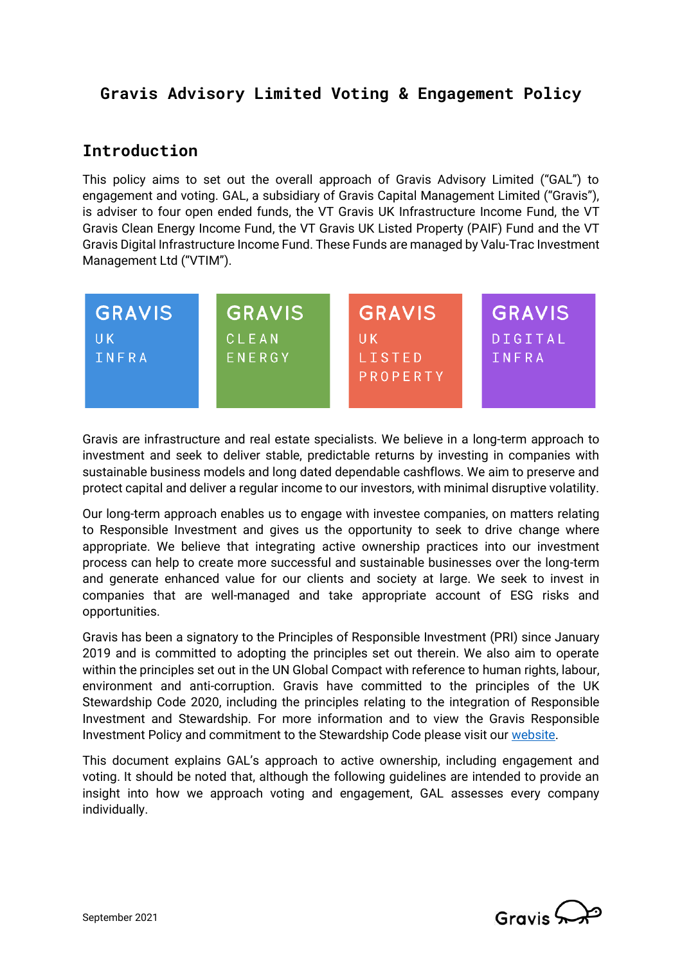# **Gravis Advisory Limited Voting & Engagement Policy**

## **Introduction**

This policy aims to set out the overall approach of Gravis Advisory Limited ("GAL") to engagement and voting. GAL, a subsidiary of Gravis Capital Management Limited ("Gravis"), is adviser to four open ended funds, the VT Gravis UK Infrastructure Income Fund, the VT Gravis Clean Energy Income Fund, the VT Gravis UK Listed Property (PAIF) Fund and the VT Gravis Digital Infrastructure Income Fund. These Funds are managed by Valu-Trac Investment Management Ltd ("VTIM").



Gravis are infrastructure and real estate specialists. We believe in a long-term approach to investment and seek to deliver stable, predictable returns by investing in companies with sustainable business models and long dated dependable cashflows. We aim to preserve and protect capital and deliver a regular income to our investors, with minimal disruptive volatility.

Our long-term approach enables us to engage with investee companies, on matters relating to Responsible Investment and gives us the opportunity to seek to drive change where appropriate. We believe that integrating active ownership practices into our investment process can help to create more successful and sustainable businesses over the long-term and generate enhanced value for our clients and society at large. We seek to invest in companies that are well-managed and take appropriate account of ESG risks and opportunities.

Gravis has been a signatory to the Principles of Responsible Investment (PRI) since January 2019 and is committed to adopting the principles set out therein. We also aim to operate within the principles set out in the UN Global Compact with reference to human rights, labour, environment and anti-corruption. Gravis have committed to the principles of the UK Stewardship Code 2020, including the principles relating to the integration of Responsible Investment and Stewardship. For more information and to view the Gravis Responsible Investment Policy and commitment to the Stewardship Code please visit ou[r website.](https://www.graviscapital.com/)

This document explains GAL's approach to active ownership, including engagement and voting. It should be noted that, although the following guidelines are intended to provide an insight into how we approach voting and engagement, GAL assesses every company individually.

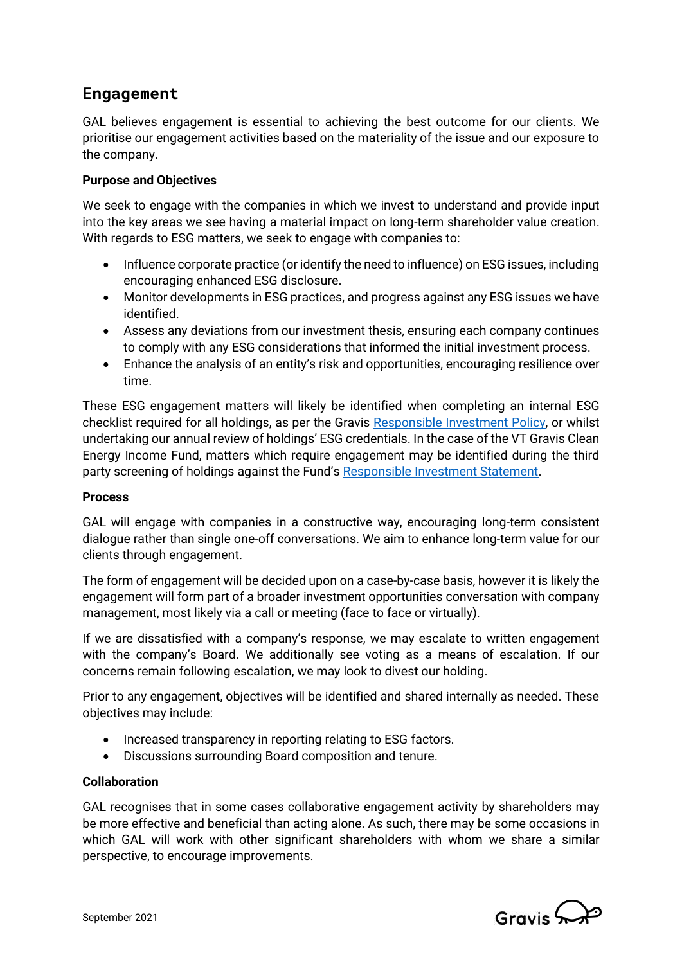# **Engagement**

GAL believes engagement is essential to achieving the best outcome for our clients. We prioritise our engagement activities based on the materiality of the issue and our exposure to the company.

## **Purpose and Objectives**

We seek to engage with the companies in which we invest to understand and provide input into the key areas we see having a material impact on long-term shareholder value creation. With regards to ESG matters, we seek to engage with companies to:

- Influence corporate practice (or identify the need to influence) on ESG issues, including encouraging enhanced ESG disclosure.
- Monitor developments in ESG practices, and progress against any ESG issues we have identified.
- Assess any deviations from our investment thesis, ensuring each company continues to comply with any ESG considerations that informed the initial investment process.
- Enhance the analysis of an entity's risk and opportunities, encouraging resilience over time.

These ESG engagement matters will likely be identified when completing an internal ESG checklist required for all holdings, as per the Gravis [Responsible Investment Policy,](https://www.graviscapital.com/uploads/regulatory-documents/210224-Gravis-Responsible-Investment-Policy_v4-1.pdf) or whilst undertaking our annual review of holdings' ESG credentials. In the case of the VT Gravis Clean Energy Income Fund, matters which require engagement may be identified during the third party screening of holdings against the Fund's [Responsible Investment Statement.](https://www.graviscapital.com/uploads/fund-documents/VT-Gravis-Clean-Energy-Income-Fund-Responsible-Investment-Statement.pdf)

## **Process**

GAL will engage with companies in a constructive way, encouraging long-term consistent dialogue rather than single one-off conversations. We aim to enhance long-term value for our clients through engagement.

The form of engagement will be decided upon on a case-by-case basis, however it is likely the engagement will form part of a broader investment opportunities conversation with company management, most likely via a call or meeting (face to face or virtually).

If we are dissatisfied with a company's response, we may escalate to written engagement with the company's Board. We additionally see voting as a means of escalation. If our concerns remain following escalation, we may look to divest our holding.

Prior to any engagement, objectives will be identified and shared internally as needed. These objectives may include:

- Increased transparency in reporting relating to ESG factors.
- Discussions surrounding Board composition and tenure.

## **Collaboration**

GAL recognises that in some cases collaborative engagement activity by shareholders may be more effective and beneficial than acting alone. As such, there may be some occasions in which GAL will work with other significant shareholders with whom we share a similar perspective, to encourage improvements.

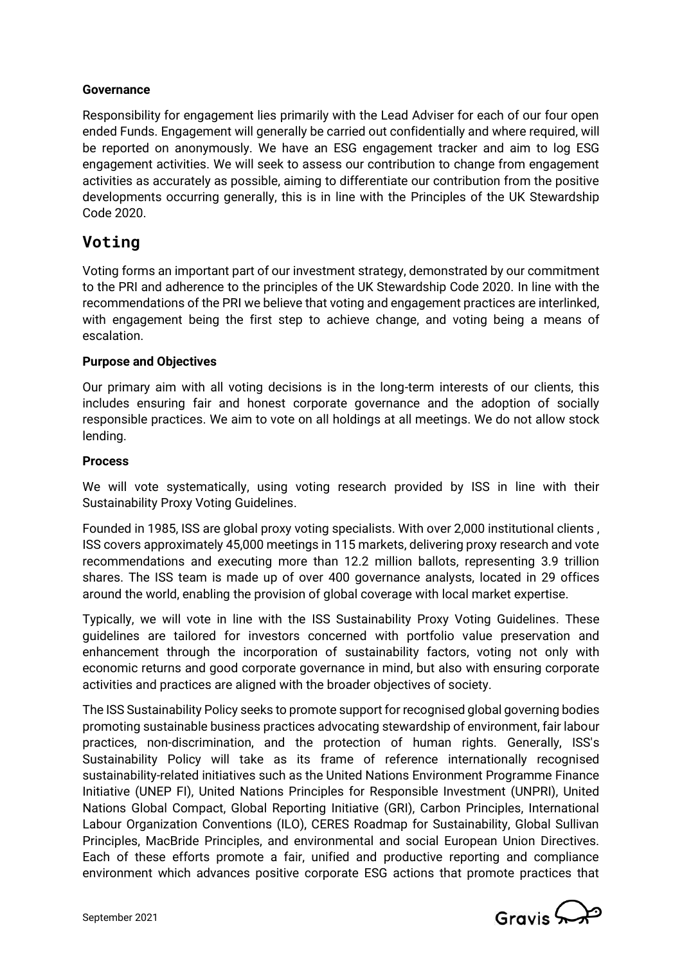## **Governance**

Responsibility for engagement lies primarily with the Lead Adviser for each of our four open ended Funds. Engagement will generally be carried out confidentially and where required, will be reported on anonymously. We have an ESG engagement tracker and aim to log ESG engagement activities. We will seek to assess our contribution to change from engagement activities as accurately as possible, aiming to differentiate our contribution from the positive developments occurring generally, this is in line with the Principles of the UK Stewardship Code 2020.

## **Voting**

Voting forms an important part of our investment strategy, demonstrated by our commitment to the PRI and adherence to the principles of the UK Stewardship Code 2020. In line with the recommendations of the PRI we believe that voting and engagement practices are interlinked, with engagement being the first step to achieve change, and voting being a means of escalation.

## **Purpose and Objectives**

Our primary aim with all voting decisions is in the long-term interests of our clients, this includes ensuring fair and honest corporate governance and the adoption of socially responsible practices. We aim to vote on all holdings at all meetings. We do not allow stock lending.

## **Process**

We will vote systematically, using voting research provided by ISS in line with their Sustainability Proxy Voting Guidelines.

Founded in 1985, ISS are global proxy voting specialists. With over 2,000 institutional clients , ISS covers approximately 45,000 meetings in 115 markets, delivering proxy research and vote recommendations and executing more than 12.2 million ballots, representing 3.9 trillion shares. The ISS team is made up of over 400 governance analysts, located in 29 offices around the world, enabling the provision of global coverage with local market expertise.

Typically, we will vote in line with the ISS Sustainability Proxy Voting Guidelines. These guidelines are tailored for investors concerned with portfolio value preservation and enhancement through the incorporation of sustainability factors, voting not only with economic returns and good corporate governance in mind, but also with ensuring corporate activities and practices are aligned with the broader objectives of society.

The ISS Sustainability Policy seeks to promote support for recognised global governing bodies promoting sustainable business practices advocating stewardship of environment, fair labour practices, non-discrimination, and the protection of human rights. Generally, ISS's Sustainability Policy will take as its frame of reference internationally recognised sustainability-related initiatives such as the United Nations Environment Programme Finance Initiative (UNEP FI), United Nations Principles for Responsible Investment (UNPRI), United Nations Global Compact, Global Reporting Initiative (GRI), Carbon Principles, International Labour Organization Conventions (ILO), CERES Roadmap for Sustainability, Global Sullivan Principles, MacBride Principles, and environmental and social European Union Directives. Each of these efforts promote a fair, unified and productive reporting and compliance environment which advances positive corporate ESG actions that promote practices that